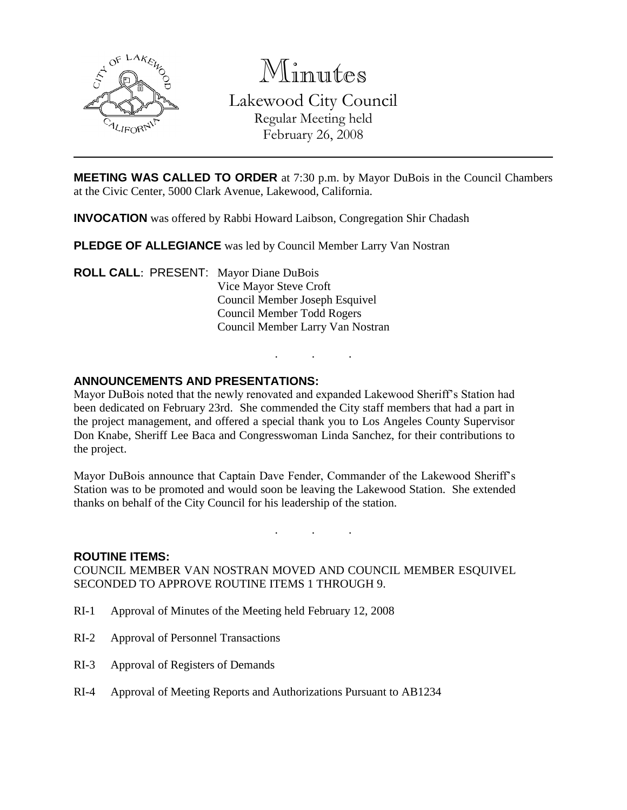

Minutes

Lakewood City Council Regular Meeting held

February 26, 2008

**MEETING WAS CALLED TO ORDER** at 7:30 p.m. by Mayor DuBois in the Council Chambers at the Civic Center, 5000 Clark Avenue, Lakewood, California.

**INVOCATION** was offered by Rabbi Howard Laibson, Congregation Shir Chadash

**PLEDGE OF ALLEGIANCE** was led by Council Member Larry Van Nostran

**ROLL CALL**: PRESENT: Mayor Diane DuBois Vice Mayor Steve Croft Council Member Joseph Esquivel Council Member Todd Rogers Council Member Larry Van Nostran

# **ANNOUNCEMENTS AND PRESENTATIONS:**

Mayor DuBois noted that the newly renovated and expanded Lakewood Sheriff's Station had been dedicated on February 23rd. She commended the City staff members that had a part in the project management, and offered a special thank you to Los Angeles County Supervisor Don Knabe, Sheriff Lee Baca and Congresswoman Linda Sanchez, for their contributions to the project.

. . .

Mayor DuBois announce that Captain Dave Fender, Commander of the Lakewood Sheriff's Station was to be promoted and would soon be leaving the Lakewood Station. She extended thanks on behalf of the City Council for his leadership of the station.

. . .

#### **ROUTINE ITEMS:**

COUNCIL MEMBER VAN NOSTRAN MOVED AND COUNCIL MEMBER ESQUIVEL SECONDED TO APPROVE ROUTINE ITEMS 1 THROUGH 9.

- RI-1 Approval of Minutes of the Meeting held February 12, 2008
- RI-2 Approval of Personnel Transactions
- RI-3 Approval of Registers of Demands
- RI-4 Approval of Meeting Reports and Authorizations Pursuant to AB1234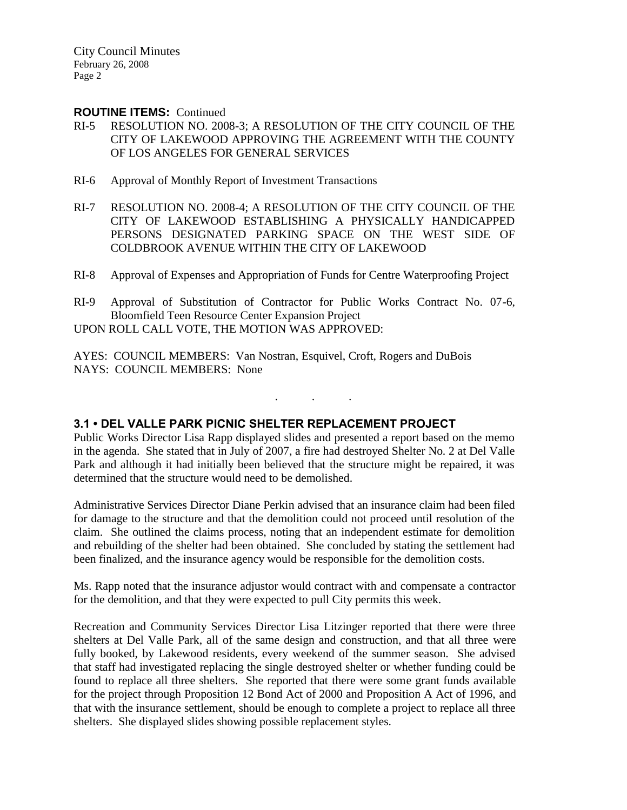City Council Minutes February 26, 2008 Page 2

#### **ROUTINE ITEMS:** Continued

- RI-5 RESOLUTION NO. 2008-3; A RESOLUTION OF THE CITY COUNCIL OF THE CITY OF LAKEWOOD APPROVING THE AGREEMENT WITH THE COUNTY OF LOS ANGELES FOR GENERAL SERVICES
- RI-6 Approval of Monthly Report of Investment Transactions
- RI-7 RESOLUTION NO. 2008-4; A RESOLUTION OF THE CITY COUNCIL OF THE CITY OF LAKEWOOD ESTABLISHING A PHYSICALLY HANDICAPPED PERSONS DESIGNATED PARKING SPACE ON THE WEST SIDE OF COLDBROOK AVENUE WITHIN THE CITY OF LAKEWOOD
- RI-8 Approval of Expenses and Appropriation of Funds for Centre Waterproofing Project
- RI-9 Approval of Substitution of Contractor for Public Works Contract No. 07-6, Bloomfield Teen Resource Center Expansion Project
- UPON ROLL CALL VOTE, THE MOTION WAS APPROVED:

AYES: COUNCIL MEMBERS: Van Nostran, Esquivel, Croft, Rogers and DuBois NAYS: COUNCIL MEMBERS: None

# **3.1 • DEL VALLE PARK PICNIC SHELTER REPLACEMENT PROJECT**

Public Works Director Lisa Rapp displayed slides and presented a report based on the memo in the agenda. She stated that in July of 2007, a fire had destroyed Shelter No. 2 at Del Valle Park and although it had initially been believed that the structure might be repaired, it was determined that the structure would need to be demolished.

. . .

Administrative Services Director Diane Perkin advised that an insurance claim had been filed for damage to the structure and that the demolition could not proceed until resolution of the claim. She outlined the claims process, noting that an independent estimate for demolition and rebuilding of the shelter had been obtained. She concluded by stating the settlement had been finalized, and the insurance agency would be responsible for the demolition costs.

Ms. Rapp noted that the insurance adjustor would contract with and compensate a contractor for the demolition, and that they were expected to pull City permits this week.

Recreation and Community Services Director Lisa Litzinger reported that there were three shelters at Del Valle Park, all of the same design and construction, and that all three were fully booked, by Lakewood residents, every weekend of the summer season. She advised that staff had investigated replacing the single destroyed shelter or whether funding could be found to replace all three shelters. She reported that there were some grant funds available for the project through Proposition 12 Bond Act of 2000 and Proposition A Act of 1996, and that with the insurance settlement, should be enough to complete a project to replace all three shelters. She displayed slides showing possible replacement styles.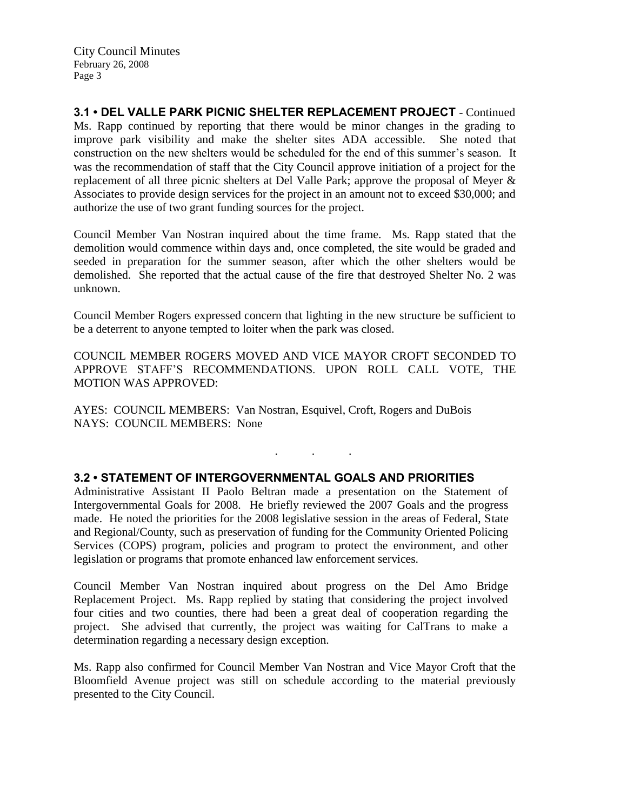**3.1 • DEL VALLE PARK PICNIC SHELTER REPLACEMENT PROJECT** - Continued Ms. Rapp continued by reporting that there would be minor changes in the grading to improve park visibility and make the shelter sites ADA accessible. She noted that construction on the new shelters would be scheduled for the end of this summer's season. It was the recommendation of staff that the City Council approve initiation of a project for the replacement of all three picnic shelters at Del Valle Park; approve the proposal of Meyer & Associates to provide design services for the project in an amount not to exceed \$30,000; and authorize the use of two grant funding sources for the project.

Council Member Van Nostran inquired about the time frame. Ms. Rapp stated that the demolition would commence within days and, once completed, the site would be graded and seeded in preparation for the summer season, after which the other shelters would be demolished. She reported that the actual cause of the fire that destroyed Shelter No. 2 was unknown.

Council Member Rogers expressed concern that lighting in the new structure be sufficient to be a deterrent to anyone tempted to loiter when the park was closed.

COUNCIL MEMBER ROGERS MOVED AND VICE MAYOR CROFT SECONDED TO APPROVE STAFF'S RECOMMENDATIONS. UPON ROLL CALL VOTE, THE MOTION WAS APPROVED:

. . .

AYES: COUNCIL MEMBERS: Van Nostran, Esquivel, Croft, Rogers and DuBois NAYS: COUNCIL MEMBERS: None

### **3.2 • STATEMENT OF INTERGOVERNMENTAL GOALS AND PRIORITIES**

Administrative Assistant II Paolo Beltran made a presentation on the Statement of Intergovernmental Goals for 2008. He briefly reviewed the 2007 Goals and the progress made. He noted the priorities for the 2008 legislative session in the areas of Federal, State and Regional/County, such as preservation of funding for the Community Oriented Policing Services (COPS) program, policies and program to protect the environment, and other legislation or programs that promote enhanced law enforcement services.

Council Member Van Nostran inquired about progress on the Del Amo Bridge Replacement Project. Ms. Rapp replied by stating that considering the project involved four cities and two counties, there had been a great deal of cooperation regarding the project. She advised that currently, the project was waiting for CalTrans to make a determination regarding a necessary design exception.

Ms. Rapp also confirmed for Council Member Van Nostran and Vice Mayor Croft that the Bloomfield Avenue project was still on schedule according to the material previously presented to the City Council.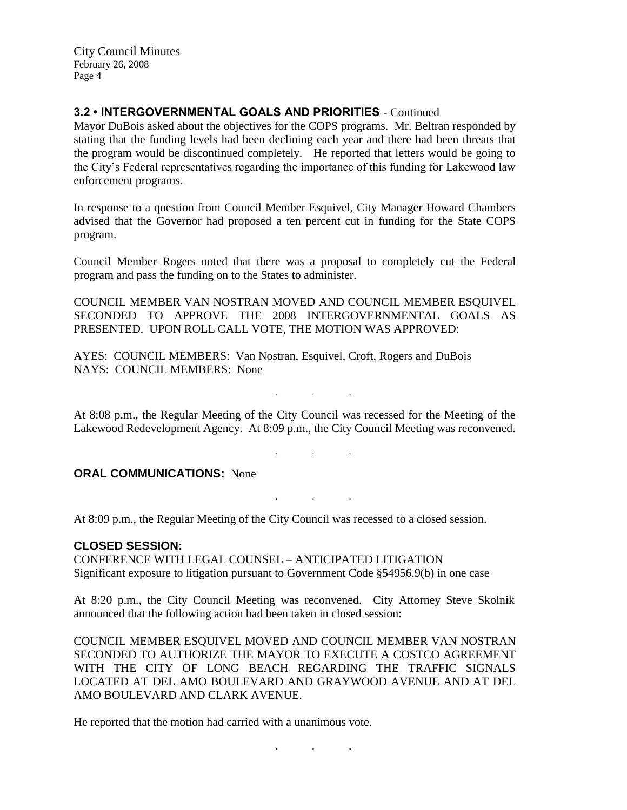City Council Minutes February 26, 2008 Page 4

## **3.2 • INTERGOVERNMENTAL GOALS AND PRIORITIES** - Continued

Mayor DuBois asked about the objectives for the COPS programs. Mr. Beltran responded by stating that the funding levels had been declining each year and there had been threats that the program would be discontinued completely. He reported that letters would be going to the City's Federal representatives regarding the importance of this funding for Lakewood law enforcement programs.

In response to a question from Council Member Esquivel, City Manager Howard Chambers advised that the Governor had proposed a ten percent cut in funding for the State COPS program.

Council Member Rogers noted that there was a proposal to completely cut the Federal program and pass the funding on to the States to administer.

COUNCIL MEMBER VAN NOSTRAN MOVED AND COUNCIL MEMBER ESQUIVEL SECONDED TO APPROVE THE 2008 INTERGOVERNMENTAL GOALS AS PRESENTED. UPON ROLL CALL VOTE, THE MOTION WAS APPROVED:

AYES: COUNCIL MEMBERS: Van Nostran, Esquivel, Croft, Rogers and DuBois NAYS: COUNCIL MEMBERS: None

At 8:08 p.m., the Regular Meeting of the City Council was recessed for the Meeting of the Lakewood Redevelopment Agency. At 8:09 p.m., the City Council Meeting was reconvened.

. . .

. . .

. . .

**ORAL COMMUNICATIONS: None** 

At 8:09 p.m., the Regular Meeting of the City Council was recessed to a closed session.

### **CLOSED SESSION:**

CONFERENCE WITH LEGAL COUNSEL – ANTICIPATED LITIGATION Significant exposure to litigation pursuant to Government Code §54956.9(b) in one case

At 8:20 p.m., the City Council Meeting was reconvened. City Attorney Steve Skolnik announced that the following action had been taken in closed session:

COUNCIL MEMBER ESQUIVEL MOVED AND COUNCIL MEMBER VAN NOSTRAN SECONDED TO AUTHORIZE THE MAYOR TO EXECUTE A COSTCO AGREEMENT WITH THE CITY OF LONG BEACH REGARDING THE TRAFFIC SIGNALS LOCATED AT DEL AMO BOULEVARD AND GRAYWOOD AVENUE AND AT DEL AMO BOULEVARD AND CLARK AVENUE.

He reported that the motion had carried with a unanimous vote.

. . .